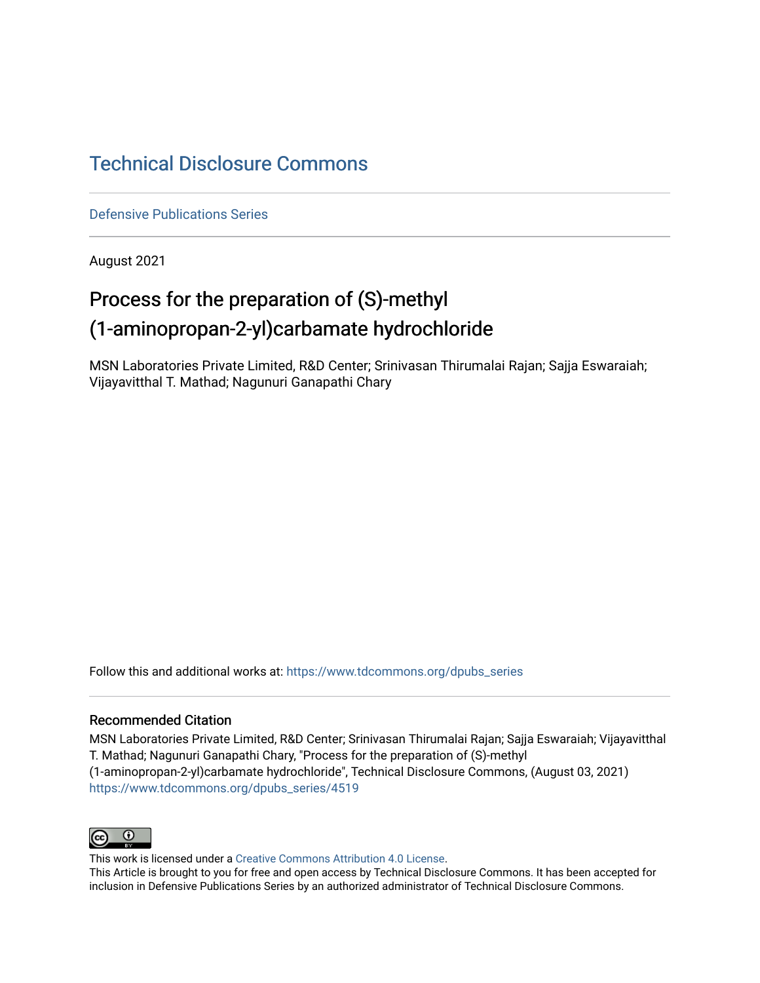## [Technical Disclosure Commons](https://www.tdcommons.org/)

[Defensive Publications Series](https://www.tdcommons.org/dpubs_series)

August 2021

# Process for the preparation of (S)-methyl (1-aminopropan-2-yl)carbamate hydrochloride

MSN Laboratories Private Limited, R&D Center; Srinivasan Thirumalai Rajan; Sajja Eswaraiah; Vijayavitthal T. Mathad; Nagunuri Ganapathi Chary

Follow this and additional works at: [https://www.tdcommons.org/dpubs\\_series](https://www.tdcommons.org/dpubs_series?utm_source=www.tdcommons.org%2Fdpubs_series%2F4519&utm_medium=PDF&utm_campaign=PDFCoverPages) 

#### Recommended Citation

MSN Laboratories Private Limited, R&D Center; Srinivasan Thirumalai Rajan; Sajja Eswaraiah; Vijayavitthal T. Mathad; Nagunuri Ganapathi Chary, "Process for the preparation of (S)-methyl (1-aminopropan-2-yl)carbamate hydrochloride", Technical Disclosure Commons, (August 03, 2021) [https://www.tdcommons.org/dpubs\\_series/4519](https://www.tdcommons.org/dpubs_series/4519?utm_source=www.tdcommons.org%2Fdpubs_series%2F4519&utm_medium=PDF&utm_campaign=PDFCoverPages)



This work is licensed under a [Creative Commons Attribution 4.0 License](http://creativecommons.org/licenses/by/4.0/deed.en_US).

This Article is brought to you for free and open access by Technical Disclosure Commons. It has been accepted for inclusion in Defensive Publications Series by an authorized administrator of Technical Disclosure Commons.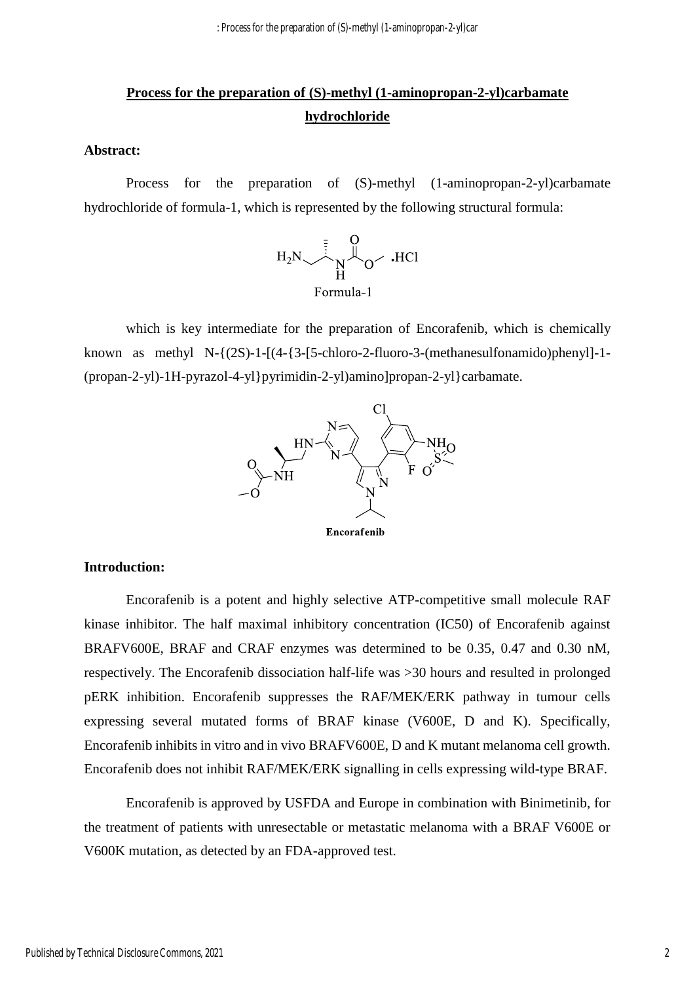: Process for the preparation of (S)-methyl (1-aminopropan-2-yl)car

### **Process for the preparation of (S)-methyl (1-aminopropan-2-yl)carbamate hydrochloride**

#### **Abstract:**

Process for the preparation of (S)-methyl (1-aminopropan-2-yl)carbamate hydrochloride of formula-1, which is represented by the following structural formula:



which is key intermediate for the preparation of Encorafenib, which is chemically known as methyl N-{(2S)-1-[(4-{3-[5-chloro-2-fluoro-3-(methanesulfonamido)phenyl]-1- (propan-2-yl)-1H-pyrazol-4-yl}pyrimidin-2-yl)amino]propan-2-yl}carbamate.



Encorafenib

#### **Introduction:**

Encorafenib is a potent and highly selective ATP-competitive small molecule RAF kinase inhibitor. The half maximal inhibitory concentration (IC50) of Encorafenib against BRAFV600E, BRAF and CRAF enzymes was determined to be 0.35, 0.47 and 0.30 nM, respectively. The Encorafenib dissociation half-life was >30 hours and resulted in prolonged pERK inhibition. Encorafenib suppresses the RAF/MEK/ERK pathway in tumour cells expressing several mutated forms of BRAF kinase (V600E, D and K). Specifically, Encorafenib inhibits in vitro and in vivo BRAFV600E, D and K mutant melanoma cell growth. Encorafenib does not inhibit RAF/MEK/ERK signalling in cells expressing wild-type BRAF.

Encorafenib is approved by USFDA and Europe in combination with Binimetinib, for the treatment of patients with unresectable or metastatic melanoma with a BRAF V600E or V600K mutation, as detected by an FDA-approved test.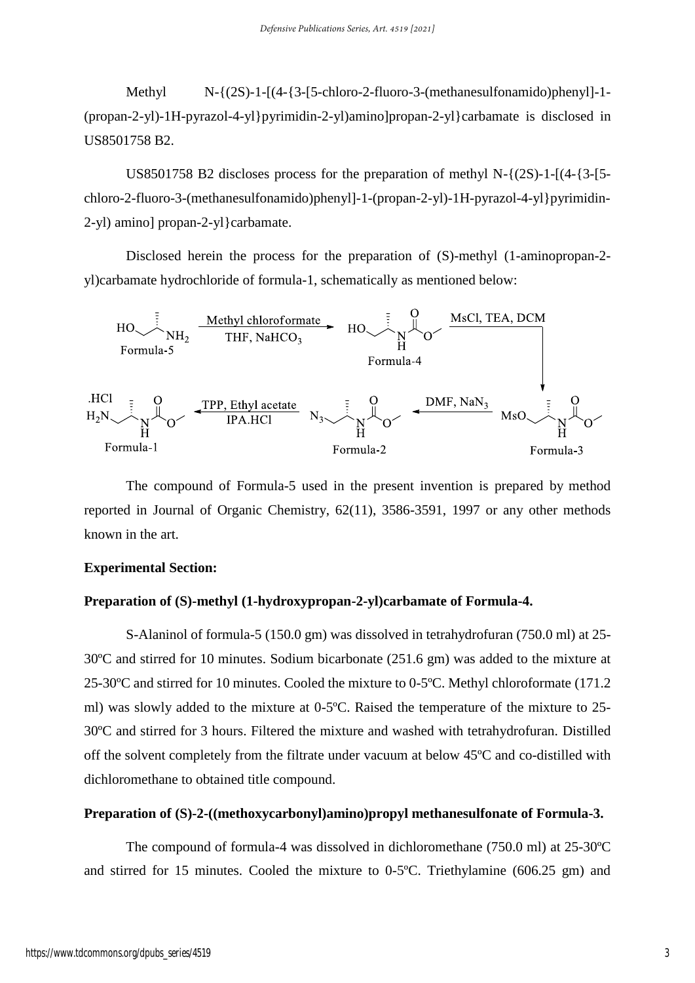Methyl N-{(2S)-1-[(4-{3-[5-chloro-2-fluoro-3-(methanesulfonamido)phenyl]-1- (propan-2-yl)-1H-pyrazol-4-yl}pyrimidin-2-yl)amino]propan-2-yl}carbamate is disclosed in US8501758 B2.

US8501758 B2 discloses process for the preparation of methyl  $N-\{(2S)-1-\lceil(4-\{3-\}5-\rceil)\rceil\}$ chloro-2-fluoro-3-(methanesulfonamido)phenyl]-1-(propan-2-yl)-1H-pyrazol-4-yl}pyrimidin-2-yl) amino] propan-2-yl}carbamate.

Disclosed herein the process for the preparation of (S)-methyl (1-aminopropan-2 yl)carbamate hydrochloride of formula-1, schematically as mentioned below:



The compound of Formula-5 used in the present invention is prepared by method reported in Journal of Organic Chemistry, 62(11), 3586-3591, 1997 or any other methods known in the art.

#### **Experimental Section:**

#### **Preparation of (S)-methyl (1-hydroxypropan-2-yl)carbamate of Formula-4.**

S-Alaninol of formula-5 (150.0 gm) was dissolved in tetrahydrofuran (750.0 ml) at 25- 30ºC and stirred for 10 minutes. Sodium bicarbonate (251.6 gm) was added to the mixture at 25-30ºC and stirred for 10 minutes. Cooled the mixture to 0-5ºC. Methyl chloroformate (171.2 ml) was slowly added to the mixture at 0-5ºC. Raised the temperature of the mixture to 25- 30ºC and stirred for 3 hours. Filtered the mixture and washed with tetrahydrofuran. Distilled off the solvent completely from the filtrate under vacuum at below 45ºC and co-distilled with dichloromethane to obtained title compound.

#### **Preparation of (S)-2-((methoxycarbonyl)amino)propyl methanesulfonate of Formula-3.**

The compound of formula-4 was dissolved in dichloromethane (750.0 ml) at 25-30ºC and stirred for 15 minutes. Cooled the mixture to 0-5ºC. Triethylamine (606.25 gm) and